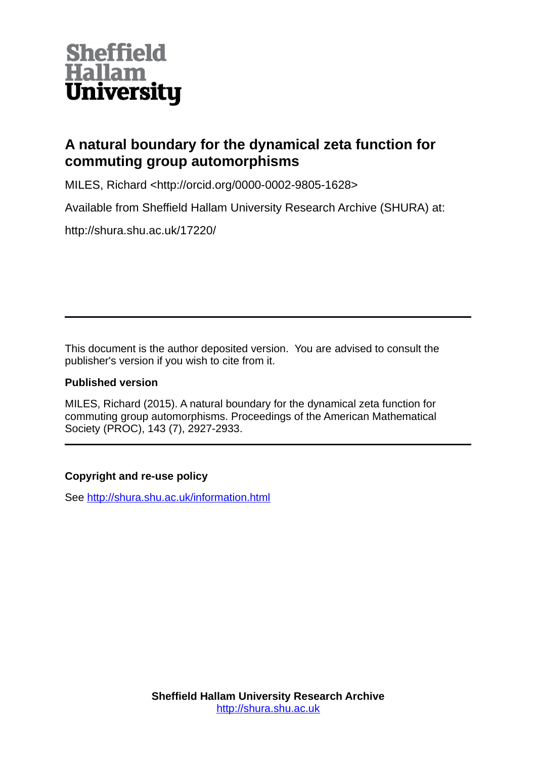

# **A natural boundary for the dynamical zeta function for commuting group automorphisms**

MILES, Richard <http://orcid.org/0000-0002-9805-1628>

Available from Sheffield Hallam University Research Archive (SHURA) at:

http://shura.shu.ac.uk/17220/

This document is the author deposited version. You are advised to consult the publisher's version if you wish to cite from it.

# **Published version**

MILES, Richard (2015). A natural boundary for the dynamical zeta function for commuting group automorphisms. Proceedings of the American Mathematical Society (PROC), 143 (7), 2927-2933.

# **Copyright and re-use policy**

See<http://shura.shu.ac.uk/information.html>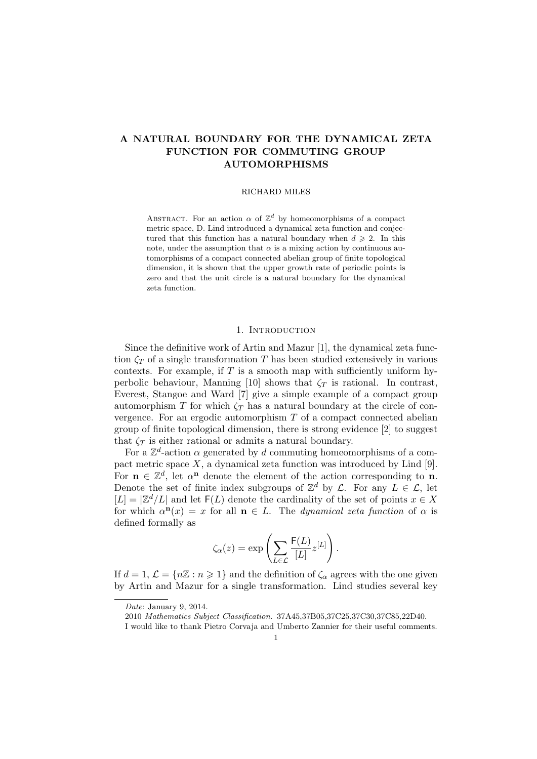## A NATURAL BOUNDARY FOR THE DYNAMICAL ZETA FUNCTION FOR COMMUTING GROUP AUTOMORPHISMS

#### RICHARD MILES

ABSTRACT. For an action  $\alpha$  of  $\mathbb{Z}^d$  by homeomorphisms of a compact metric space, D. Lind introduced a dynamical zeta function and conjectured that this function has a natural boundary when  $d \geq 2$ . In this note, under the assumption that  $\alpha$  is a mixing action by continuous automorphisms of a compact connected abelian group of finite topological dimension, it is shown that the upper growth rate of periodic points is zero and that the unit circle is a natural boundary for the dynamical zeta function.

### 1. INTRODUCTION

Since the definitive work of Artin and Mazur [1], the dynamical zeta function  $\zeta_T$  of a single transformation T has been studied extensively in various contexts. For example, if  $T$  is a smooth map with sufficiently uniform hyperbolic behaviour, Manning [10] shows that  $\zeta_T$  is rational. In contrast, Everest, Stangoe and Ward [7] give a simple example of a compact group automorphism T for which  $\zeta_T$  has a natural boundary at the circle of convergence. For an ergodic automorphism  $T$  of a compact connected abelian group of finite topological dimension, there is strong evidence [2] to suggest that  $\zeta_T$  is either rational or admits a natural boundary.

For a  $\mathbb{Z}^d$ -action  $\alpha$  generated by d commuting homeomorphisms of a compact metric space  $X$ , a dynamical zeta function was introduced by Lind [9]. For  $\mathbf{n} \in \mathbb{Z}^d$ , let  $\alpha^{\mathbf{n}}$  denote the element of the action corresponding to **n**. Denote the set of finite index subgroups of  $\mathbb{Z}^d$  by  $\mathcal{L}$ . For any  $L \in \mathcal{L}$ , let  $[L] = \left| \mathbb{Z}^d / L \right|$  and let  $F(L)$  denote the cardinality of the set of points  $x \in X$ for which  $\alpha^n(x) = x$  for all  $n \in L$ . The *dynamical zeta function* of  $\alpha$  is defined formally as

$$
\zeta_{\alpha}(z) = \exp\left(\sum_{L \in \mathcal{L}} \frac{F(L)}{[L]} z^{[L]}\right).
$$

If  $d = 1, \mathcal{L} = \{n\mathbb{Z} : n \geq 1\}$  and the definition of  $\zeta_{\alpha}$  agrees with the one given by Artin and Mazur for a single transformation. Lind studies several key

Date: January 9, 2014.

<sup>2010</sup> Mathematics Subject Classification. 37A45,37B05,37C25,37C30,37C85,22D40.

I would like to thank Pietro Corvaja and Umberto Zannier for their useful comments.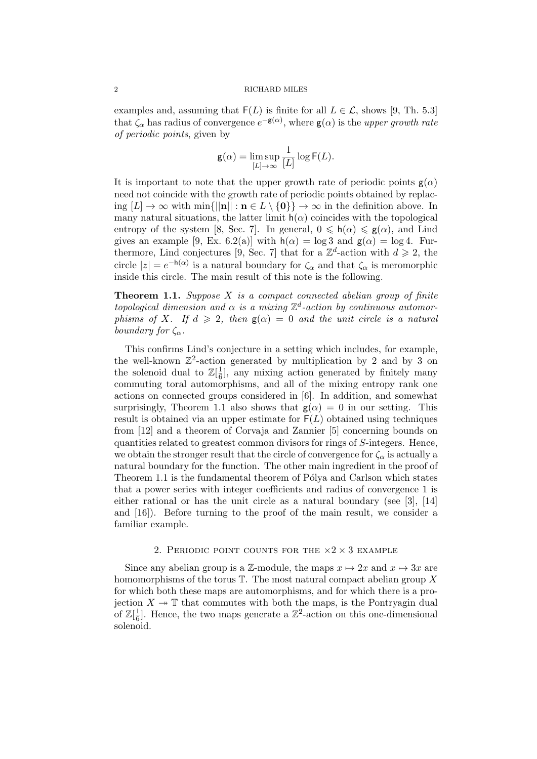### 2 RICHARD MILES

examples and, assuming that  $F(L)$  is finite for all  $L \in \mathcal{L}$ , shows [9, Th. 5.3] that  $\zeta_{\alpha}$  has radius of convergence  $e^{-\mathsf{g}(\alpha)}$ , where  $\mathsf{g}(\alpha)$  is the upper growth rate of periodic points, given by

$$
\mathsf{g}(\alpha) = \limsup_{[L] \to \infty} \frac{1}{[L]} \log \mathsf{F}(L).
$$

It is important to note that the upper growth rate of periodic points  $g(\alpha)$ need not coincide with the growth rate of periodic points obtained by replacing  $[L] \to \infty$  with  $\min\{||\mathbf{n}|| : \mathbf{n} \in L \setminus \{\mathbf{0}\}\} \to \infty$  in the definition above. In many natural situations, the latter limit  $h(\alpha)$  coincides with the topological entropy of the system [8, Sec. 7]. In general,  $0 \le h(\alpha) \le g(\alpha)$ , and Lind gives an example [9, Ex. 6.2(a)] with  $h(\alpha) = \log 3$  and  $g(\alpha) = \log 4$ . Furthermore, Lind conjectures [9, Sec. 7] that for a  $\mathbb{Z}^d$ -action with  $d \geq 2$ , the circle  $|z| = e^{-h(\alpha)}$  is a natural boundary for  $\zeta_{\alpha}$  and that  $\zeta_{\alpha}$  is meromorphic inside this circle. The main result of this note is the following.

**Theorem 1.1.** Suppose  $X$  is a compact connected abelian group of finite topological dimension and  $\alpha$  is a mixing  $\mathbb{Z}^d$ -action by continuous automorphisms of X. If  $d \geq 2$ , then  $g(\alpha) = 0$  and the unit circle is a natural boundary for  $\zeta_{\alpha}$ .

This confirms Lind's conjecture in a setting which includes, for example, the well-known  $\mathbb{Z}^2$ -action generated by multiplication by 2 and by 3 on the solenoid dual to  $\mathbb{Z}[\frac{1}{6}]$  $\frac{1}{6}$ , any mixing action generated by finitely many commuting toral automorphisms, and all of the mixing entropy rank one actions on connected groups considered in [6]. In addition, and somewhat surprisingly, Theorem 1.1 also shows that  $g(\alpha) = 0$  in our setting. This result is obtained via an upper estimate for  $F(L)$  obtained using techniques from [12] and a theorem of Corvaja and Zannier [5] concerning bounds on quantities related to greatest common divisors for rings of S-integers. Hence, we obtain the stronger result that the circle of convergence for  $\zeta_{\alpha}$  is actually a natural boundary for the function. The other main ingredient in the proof of Theorem 1.1 is the fundamental theorem of Pólya and Carlson which states that a power series with integer coefficients and radius of convergence 1 is either rational or has the unit circle as a natural boundary (see [3], [14] and [16]). Before turning to the proof of the main result, we consider a familiar example.

#### 2. PERIODIC POINT COUNTS FOR THE  $\times$ 2  $\times$  3 EXAMPLE

Since any abelian group is a  $\mathbb{Z}$ -module, the maps  $x \mapsto 2x$  and  $x \mapsto 3x$  are homomorphisms of the torus  $\mathbb T$ . The most natural compact abelian group X for which both these maps are automorphisms, and for which there is a projection  $X \to \mathbb{T}$  that commutes with both the maps, is the Pontryagin dual of  $\mathbb{Z}[\frac{1}{6}]$  $\frac{1}{6}$ . Hence, the two maps generate a  $\mathbb{Z}^2$ -action on this one-dimensional solenoid.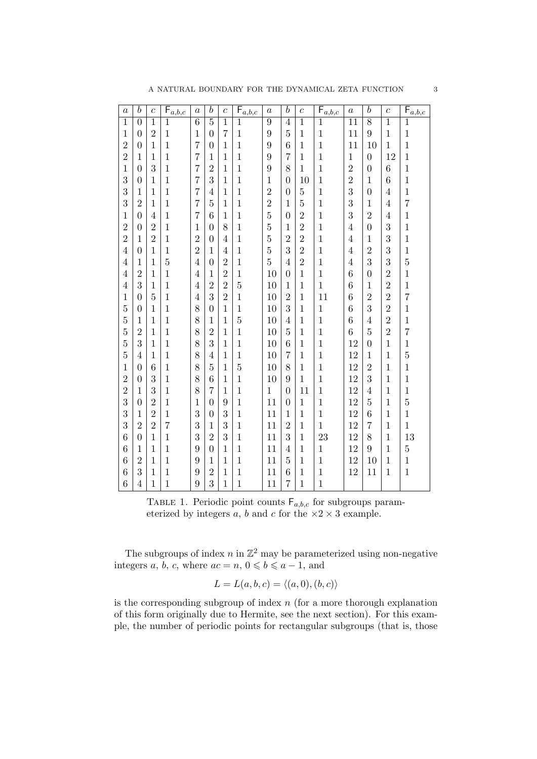| A NATURAL BOUNDARY FOR THE DYNAMICAL ZETA FUNCTION |  |
|----------------------------------------------------|--|
|----------------------------------------------------|--|

| $\boldsymbol{a}$ | $\boldsymbol{b}$ | $\overline{c}$ | $\mathsf{F}_{\underline{a},\underline{b},\underline{c}}$ | $\boldsymbol{a}$ | $\boldsymbol{b}$ | $\overline{c}$ | $F_{a,\underline{b},\underline{c}}$ | $\boldsymbol{a}$ | $\boldsymbol{b}$ | $\overline{c}$ | $\mathsf{F}_{\underline{a},\underline{b},\underline{c}}$ | $\boldsymbol{a}$ | $\boldsymbol{b}$ | $\overline{c}$ | ${\sf F}_{\underline{a},\underline{b},\underline{c}}$ |
|------------------|------------------|----------------|----------------------------------------------------------|------------------|------------------|----------------|-------------------------------------|------------------|------------------|----------------|----------------------------------------------------------|------------------|------------------|----------------|-------------------------------------------------------|
| $\mathbf{1}$     | $\boldsymbol{0}$ | $\mathbf{1}$   | 1                                                        | $\overline{6}$   | $\overline{5}$   | $\overline{1}$ | 1                                   | $\overline{9}$   | 4                | $\overline{1}$ | 1                                                        | 11               | $\overline{8}$   | $\overline{1}$ | 1                                                     |
| 1                | $\overline{0}$   | $\overline{2}$ | $\mathbf{1}$                                             | $\mathbf{1}$     | $\overline{0}$   | $\overline{7}$ | $\mathbf{1}$                        | 9                | 5                | $\mathbf{1}$   | $\mathbf{1}$                                             | 11               | 9                | $\mathbf{1}$   | $\mathbf 1$                                           |
| $\overline{2}$   | $\overline{0}$   | $\mathbf 1$    | $\mathbf{1}$                                             | $\overline{7}$   | $\boldsymbol{0}$ | $\mathbf{1}$   | $\mathbf{1}$                        | 9                | 6                | $\mathbf{1}$   | $\mathbf{1}$                                             | 11               | 10               | $\mathbf 1$    | $\mathbf{1}$                                          |
| $\overline{2}$   | $\mathbf{1}$     | $\mathbf 1$    | $\mathbf{1}$                                             | 7                | $\mathbf{1}$     | $\mathbf{1}$   | $\mathbf{1}$                        | 9                | $\overline{7}$   | $\mathbf{1}$   | $\mathbf{1}$                                             | $\mathbf{1}$     | $\overline{0}$   | 12             | $\mathbf{1}$                                          |
| $\mathbf 1$      | $\overline{0}$   | 3              | $\mathbf{1}$                                             | 7                | $\overline{2}$   | $\mathbf{1}$   | $\mathbf{1}$                        | 9                | 8                | $\mathbf{1}$   | $\mathbf{1}$                                             | $\overline{2}$   | $\boldsymbol{0}$ | $\overline{6}$ | $\mathbf{1}$                                          |
| 3                | $\overline{0}$   | $\mathbf 1$    | $\mathbf{1}$                                             | 7                | 3                | $\mathbf{1}$   | $\mathbf{1}$                        | $\mathbf 1$      | $\theta$         | 10             | $\mathbf{1}$                                             | $\overline{2}$   | $\mathbf{1}$     | 6              | $\mathbf{1}$                                          |
| 3                | $\mathbf{1}$     | $\mathbf 1$    | $\mathbf{1}$                                             | 7                | $\overline{4}$   | $\mathbf{1}$   | $\mathbf{1}$                        | $\overline{2}$   | $\overline{0}$   | $\overline{5}$ | $\mathbf{1}$                                             | 3                | $\overline{0}$   | 4              | $\mathbf{1}$                                          |
| 3                | $\overline{2}$   | $\mathbf{1}$   | $\mathbf{1}$                                             | 7                | $\overline{5}$   | $\mathbf{1}$   | $\mathbf{1}$                        | $\overline{2}$   | $\mathbf{1}$     | $\overline{5}$ | $\mathbf{1}$                                             | 3                | $\mathbf{1}$     | $\overline{4}$ | $\overline{7}$                                        |
| 1                | $\overline{0}$   | 4              | $\mathbf{1}$                                             | 7                | 6                | $\mathbf{1}$   | $\mathbf{1}$                        | $\overline{5}$   | $\overline{0}$   | $\overline{2}$ | $\mathbf{1}$                                             | 3                | $\overline{2}$   | $\overline{4}$ | $\mathbf{1}$                                          |
| $\overline{2}$   | $\overline{0}$   | $\overline{2}$ | $\mathbf{1}$                                             | $\mathbf{1}$     | $\overline{0}$   | 8              | $\mathbf{1}$                        | 5                | 1                | $\overline{2}$ | $\mathbf{1}$                                             | 4                | $\overline{0}$   | 3              | $\mathbf{1}$                                          |
| $\overline{2}$   | $\mathbf{1}$     | $\overline{2}$ | $\mathbf{1}$                                             | $\overline{2}$   | $\overline{0}$   | 4              | $\mathbf{1}$                        | $\overline{5}$   | $\overline{2}$   | $\overline{2}$ | $\mathbf{1}$                                             | 4                | $\mathbf{1}$     | 3              | $\mathbf{1}$                                          |
| $\overline{4}$   | $\overline{0}$   | 1              | $\mathbf{1}$                                             | $\overline{2}$   | 1                | $\overline{4}$ | $\mathbf{1}$                        | $\overline{5}$   | 3                | $\overline{2}$ | $\mathbf{1}$                                             | $\overline{4}$   | $\overline{2}$   | 3              | $\mathbf{1}$                                          |
| 4                | $\mathbf{1}$     | $\mathbf{1}$   | $\overline{5}$                                           | $\overline{4}$   | $\overline{0}$   | $\overline{2}$ | $\mathbf{1}$                        | $\overline{5}$   | 4                | $\overline{2}$ | $\mathbf{1}$                                             | $\overline{4}$   | 3                | 3              | $\overline{5}$                                        |
| 4                | $\overline{2}$   | $\mathbf 1$    | $\mathbf{1}$                                             | 4                | $\mathbf 1$      | $\overline{2}$ | $\mathbf{1}$                        | 10               | $\theta$         | $\mathbf{1}$   | $\mathbf{1}$                                             | 6                | $\theta$         | $\overline{2}$ | $\mathbf{1}$                                          |
| $\overline{4}$   | 3                | $\mathbf{1}$   | $\mathbf{1}$                                             | 4                | $\overline{2}$   | $\overline{2}$ | $\overline{5}$                      | 10               | 1                | $\mathbf{1}$   | $\mathbf{1}$                                             | 6                | $\mathbf{1}$     | $\overline{2}$ | $\mathbf{1}$                                          |
| 1                | $\overline{0}$   | $\overline{5}$ | $\mathbf{1}$                                             | 4                | 3                | $\overline{2}$ | $\mathbf{1}$                        | 10               | $\overline{2}$   | $\mathbf{1}$   | 11                                                       | 6                | $\overline{2}$   | $\overline{2}$ | $\overline{7}$                                        |
| $\overline{5}$   | $\overline{0}$   | $\mathbf{1}$   | $\mathbf{1}$                                             | 8                | $\overline{0}$   | $\mathbf{1}$   | $\mathbf{1}$                        | 10               | 3                | $\mathbf{1}$   | $1\,$                                                    | 6                | 3                | $\overline{2}$ | $\mathbf{1}$                                          |
| $\overline{5}$   | $\mathbf{1}$     | $\mathbf 1$    | $\mathbf{1}$                                             | 8                | 1                | $\mathbf{1}$   | $\overline{5}$                      | 10               | 4                | $\mathbf{1}$   | $\mathbf{1}$                                             | 6                | 4                | $\overline{2}$ | $\mathbf{1}$                                          |
| $\overline{5}$   | $\overline{2}$   | $\mathbf{1}$   | $\mathbf{1}$                                             | 8                | $\overline{2}$   | $\mathbf{1}$   | $\mathbf{1}$                        | 10               | 5                | $\mathbf{1}$   | $\mathbf{1}$                                             | 6                | $\overline{5}$   | $\overline{2}$ | $\overline{7}$                                        |
| $\overline{5}$   | 3                | $\mathbf 1$    | $\mathbf{1}$                                             | 8                | 3                | $\mathbf{1}$   | $\mathbf{1}$                        | 10               | 6                | $\mathbf{1}$   | $\mathbf{1}$                                             | 12               | $\overline{0}$   | $\mathbf{1}$   | $\mathbf{1}$                                          |
| 5                | 4                | $\mathbf{1}$   | $\mathbf{1}$                                             | 8                | 4                | $\mathbf{1}$   | $\mathbf{1}$                        | 10               | 7                | $\mathbf{1}$   | $\mathbf{1}$                                             | 12               | $\mathbf{1}$     | $\mathbf{1}$   | $\overline{5}$                                        |
| 1                | $\overline{0}$   | 6              | $\mathbf{1}$                                             | 8                | $\overline{5}$   | $\mathbf{1}$   | $\overline{5}$                      | 10               | 8                | $\mathbf{1}$   | $\mathbf{1}$                                             | 12               | $\overline{2}$   | $\mathbf{1}$   | $\mathbf{1}$                                          |
| $\overline{2}$   | $\overline{0}$   | 3              | $\mathbf{1}$                                             | 8                | 6                | $\mathbf{1}$   | $\mathbf{1}$                        | 10               | 9                | $\mathbf{1}$   | $\mathbf{1}$                                             | 12               | 3                | $\mathbf{1}$   | $\mathbf{1}$                                          |
| $\overline{2}$   | $\mathbf{1}$     | 3              | $\mathbf{1}$                                             | 8                | $\overline{7}$   | $\mathbf{1}$   | $\mathbf{1}$                        | $\mathbf{1}$     | $\theta$         | 11             | $\mathbf{1}$                                             | 12               | $\overline{4}$   | $\mathbf{1}$   | $\mathbf{1}$                                          |
| 3                | $\overline{0}$   | $\overline{2}$ | $\mathbf{1}$                                             | 1                | 0                | 9              | $\mathbf{1}$                        | 11               | $\theta$         | $\mathbf{1}$   | $\mathbf{1}$                                             | 12               | 5                | $\mathbf{1}$   | $\overline{5}$                                        |
| 3                | $\mathbf{1}$     | $\overline{2}$ | $\mathbf{1}$                                             | 3                | $\overline{0}$   | 3              | $\mathbf{1}$                        | 11               | 1                | $\mathbf{1}$   | $\mathbf{1}$                                             | 12               | 6                | $\mathbf{1}$   | $\mathbf{1}$                                          |
| 3                | $\overline{2}$   | $\overline{2}$ | $\overline{7}$                                           | 3                | $\mathbf 1$      | 3              | $\mathbf{1}$                        | 11               | $\overline{2}$   | $\mathbf{1}$   | $\mathbf{1}$                                             | 12               | $\overline{7}$   | $\mathbf{1}$   | $\mathbf{1}$                                          |
| 6                | $\overline{0}$   | $\mathbf{1}$   | $\mathbf{1}$                                             | 3                | $\overline{2}$   | 3              | 1                                   | 11               | 3                | $\mathbf{1}$   | 23                                                       | 12               | 8                | $\mathbf{1}$   | 13                                                    |
| 6                | $\mathbf{1}$     | $\mathbf{1}$   | $\mathbf{1}$                                             | 9                | $\boldsymbol{0}$ | $\mathbf{1}$   | $\mathbf{1}$                        | 11               | 4                | $\mathbf{1}$   | $\mathbf{1}$                                             | 12               | 9                | $\mathbf{1}$   | $\overline{5}$                                        |
| 6                | $\overline{2}$   | $\mathbf 1$    | $\mathbf{1}$                                             | 9                | $\mathbf 1$      | $\mathbf{1}$   | $\mathbf{1}$                        | 11               | 5                | $\mathbf{1}$   | $\mathbf{1}$                                             | 12               | 10               | $\mathbf{1}$   | $\mathbf{1}$                                          |
| 6                | 3                | $\mathbf{1}$   | $\mathbf{1}$                                             | 9                | $\overline{2}$   | $\mathbf{1}$   | $\mathbf{1}$                        | 11               | 6                | $\mathbf{1}$   | $\,1$                                                    | 12               | 11               | $\mathbf 1$    | $\mathbf{1}$                                          |
| 6                | $\overline{4}$   | $\mathbf 1$    | 1                                                        | 9                | 3                | $\mathbf{1}$   | $\mathbf{1}$                        | 11               | $\overline{7}$   | $\mathbf{1}$   | $\mathbf{1}$                                             |                  |                  |                |                                                       |

TABLE 1. Periodic point counts  $F_{a,b,c}$  for subgroups parameterized by integers a, b and c for the  $\times 2 \times 3$  example.

The subgroups of index  $n$  in  $\mathbb{Z}^2$  may be parameterized using non-negative integers a, b, c, where  $ac = n, 0 \leq b \leq a - 1$ , and

$$
L = L(a, b, c) = \langle (a, 0), (b, c) \rangle
$$

is the corresponding subgroup of index  $n$  (for a more thorough explanation of this form originally due to Hermite, see the next section). For this example, the number of periodic points for rectangular subgroups (that is, those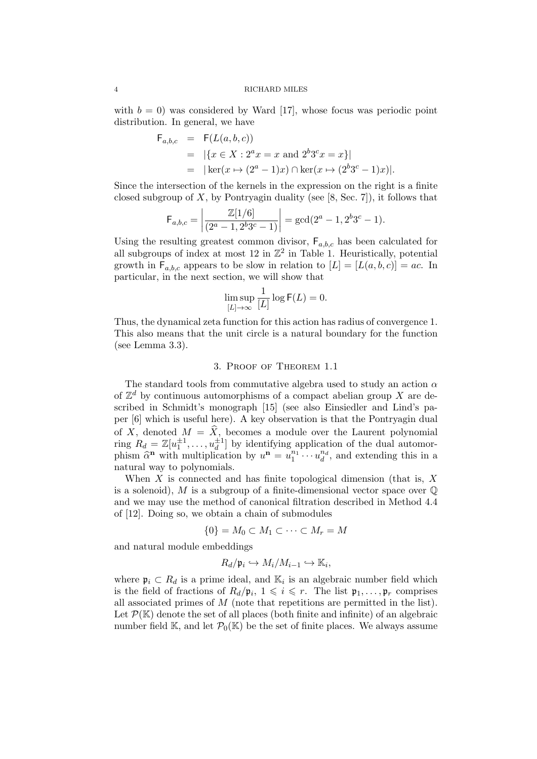with  $b = 0$ ) was considered by Ward [17], whose focus was periodic point distribution. In general, we have

$$
F_{a,b,c} = F(L(a,b,c))
$$
  
=  $|\{x \in X : 2^a x = x \text{ and } 2^b 3^c x = x\}|$   
=  $|\ker(x \mapsto (2^a - 1)x) \cap \ker(x \mapsto (2^b 3^c - 1)x)|.$ 

Since the intersection of the kernels in the expression on the right is a finite closed subgroup of X, by Pontryagin duality (see  $[8, Sec. 7]$ ), it follows that

$$
\mathsf{F}_{a,b,c} = \left| \frac{\mathbb{Z}[1/6]}{(2^a - 1, 2^b 3^c - 1)} \right| = \gcd(2^a - 1, 2^b 3^c - 1).
$$

Using the resulting greatest common divisor,  $F_{a,b,c}$  has been calculated for all subgroups of index at most 12 in  $\mathbb{Z}^2$  in Table 1. Heuristically, potential growth in  $F_{a,b,c}$  appears to be slow in relation to  $[L] = [L(a,b,c)] = ac$ . In particular, in the next section, we will show that

$$
\limsup_{[L]\to\infty}\frac{1}{[L]}\log{\sf F}(L)=0.
$$

Thus, the dynamical zeta function for this action has radius of convergence 1. This also means that the unit circle is a natural boundary for the function (see Lemma 3.3).

#### 3. Proof of Theorem 1.1

The standard tools from commutative algebra used to study an action  $\alpha$ of  $\mathbb{Z}^d$  by continuous automorphisms of a compact abelian group X are described in Schmidt's monograph [15] (see also Einsiedler and Lind's paper [6] which is useful here). A key observation is that the Pontryagin dual of X, denoted  $M = \hat{X}$ , becomes a module over the Laurent polynomial ring  $R_d = \mathbb{Z}[u_1^{\pm 1}, \dots, u_d^{\pm 1}]$  by identifying application of the dual automorphism  $\hat{\alpha}^n$  with multiplication by  $u^n = u_1^{n_1} \cdots u_d^{n_d}$ , and extending this in a natural way to polynomials.

When  $X$  is connected and has finite topological dimension (that is,  $X$ is a solenoid), M is a subgroup of a finite-dimensional vector space over  $\mathbb{Q}$ and we may use the method of canonical filtration described in Method 4.4 of [12]. Doing so, we obtain a chain of submodules

$$
\{0\} = M_0 \subset M_1 \subset \cdots \subset M_r = M
$$

and natural module embeddings

$$
R_d/\mathfrak{p}_i \hookrightarrow M_i/M_{i-1} \hookrightarrow \mathbb{K}_i,
$$

where  $\mathfrak{p}_i \subset R_d$  is a prime ideal, and  $\mathbb{K}_i$  is an algebraic number field which is the field of fractions of  $R_d/\mathfrak{p}_i$ ,  $1 \leqslant i \leqslant r$ . The list  $\mathfrak{p}_1, \ldots, \mathfrak{p}_r$  comprises all associated primes of M (note that repetitions are permitted in the list). Let  $\mathcal{P}(\mathbb{K})$  denote the set of all places (both finite and infinite) of an algebraic number field K, and let  $\mathcal{P}_0(\mathbb{K})$  be the set of finite places. We always assume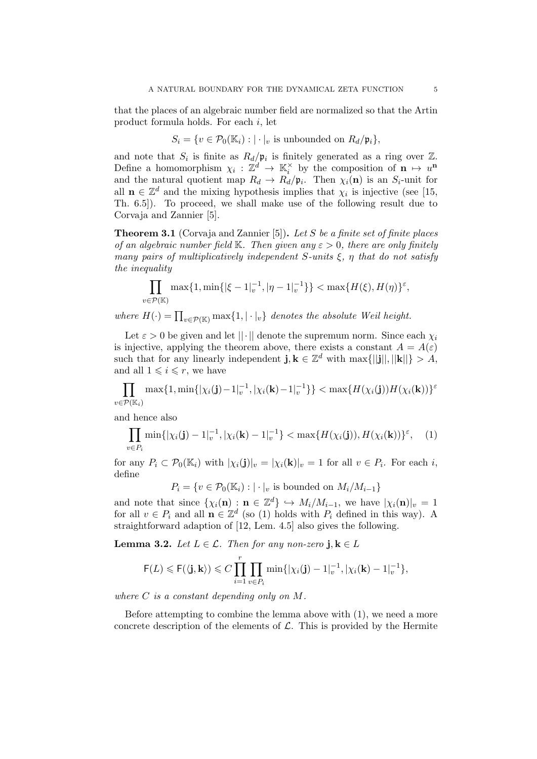that the places of an algebraic number field are normalized so that the Artin product formula holds. For each i, let

$$
S_i = \{ v \in \mathcal{P}_0(\mathbb{K}_i) : | \cdot |_v \text{ is unbounded on } R_d/\mathfrak{p}_i \},
$$

and note that  $S_i$  is finite as  $R_d/\mathfrak{p}_i$  is finitely generated as a ring over  $\mathbb{Z}$ . Define a homomorphism  $\chi_i : \mathbb{Z}^d \to \mathbb{K}_i^{\times}$  by the composition of  $\mathbf{n} \mapsto u^{\mathbf{n}}$ and the natural quotient map  $R_d \to R_d/\mathfrak{p}_i$ . Then  $\chi_i(\mathbf{n})$  is an  $S_i$ -unit for all  $\mathbf{n} \in \mathbb{Z}^d$  and the mixing hypothesis implies that  $\chi_i$  is injective (see [15, Th. 6.5]). To proceed, we shall make use of the following result due to Corvaja and Zannier [5].

**Theorem 3.1** (Corvaja and Zannier [5]). Let S be a finite set of finite places of an algebraic number field K. Then given any  $\varepsilon > 0$ , there are only finitely many pairs of multiplicatively independent S-units  $\xi$ ,  $\eta$  that do not satisfy the inequality

$$
\prod_{v \in \mathcal{P}(\mathbb{K})} \max\{1, \min\{|\xi - 1|_v^{-1}, |\eta - 1|_v^{-1}\}\} < \max\{H(\xi), H(\eta)\}^{\varepsilon},
$$

where  $H(\cdot) = \prod_{v \in \mathcal{P}(\mathbb{K})} \max\{1, |\cdot|_v\}$  denotes the absolute Weil height.

Let  $\varepsilon > 0$  be given and let  $||\cdot||$  denote the supremum norm. Since each  $\chi_i$ is injective, applying the theorem above, there exists a constant  $A = A(\varepsilon)$ such that for any linearly independent  $\mathbf{j}, \mathbf{k} \in \mathbb{Z}^d$  with  $\max\{||\mathbf{j}||, ||\mathbf{k}||\} > A$ , and all  $1 \leq i \leq r$ , we have

 $\prod_{i} \max\{1, \min\{|\chi_i(\mathbf{j})-1|_v^{-1}, |\chi_i(\mathbf{k})-1|_v^{-1}\}\} < \max\{H(\chi_i(\mathbf{j}))H(\chi_i(\mathbf{k}))\}^{\varepsilon}$  $v \in \mathcal{P}(\mathbb{K}_i)$ 

and hence also

$$
\prod_{v \in P_i} \min\{|\chi_i(\mathbf{j}) - 1|_v^{-1}, |\chi_i(\mathbf{k}) - 1|_v^{-1}\} < \max\{H(\chi_i(\mathbf{j})), H(\chi_i(\mathbf{k}))\}^\varepsilon, \quad (1)
$$

for any  $P_i \subset \mathcal{P}_0(\mathbb{K}_i)$  with  $|\chi_i(\mathbf{j})|_v = |\chi_i(\mathbf{k})|_v = 1$  for all  $v \in P_i$ . For each i, define

 $P_i = \{v \in \mathcal{P}_0(\mathbb{K}_i) : |\cdot|_v \text{ is bounded on } M_i/M_{i-1}\}\$ 

and note that since  $\{\chi_i(\mathbf{n}) : \mathbf{n} \in \mathbb{Z}^d\} \hookrightarrow M_i/M_{i-1}$ , we have  $|\chi_i(\mathbf{n})|_{v} = 1$ for all  $v \in P_i$  and all  $\mathbf{n} \in \mathbb{Z}^d$  (so (1) holds with  $P_i$  defined in this way). A straightforward adaption of [12, Lem. 4.5] also gives the following.

**Lemma 3.2.** Let  $L \in \mathcal{L}$ . Then for any non-zero j,  $\mathbf{k} \in L$ 

$$
\mathsf{F}(L) \leqslant \mathsf{F}(\langle \mathbf{j}, \mathbf{k} \rangle) \leqslant C \prod_{i=1}^r \prod_{v \in P_i} \min \{ |\chi_i(\mathbf{j}) - 1|_v^{-1}, |\chi_i(\mathbf{k}) - 1|_v^{-1} \},
$$

where  $C$  is a constant depending only on  $M$ .

Before attempting to combine the lemma above with (1), we need a more concrete description of the elements of  $\mathcal{L}$ . This is provided by the Hermite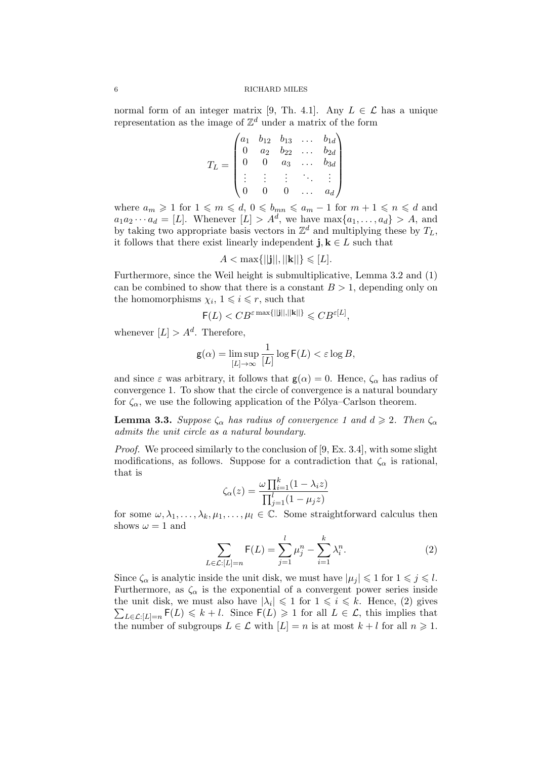normal form of an integer matrix [9, Th. 4.1]. Any  $L \in \mathcal{L}$  has a unique representation as the image of  $\mathbb{Z}^d$  under a matrix of the form

$$
T_L = \begin{pmatrix} a_1 & b_{12} & b_{13} & \dots & b_{1d} \\ 0 & a_2 & b_{22} & \dots & b_{2d} \\ 0 & 0 & a_3 & \dots & b_{3d} \\ \vdots & \vdots & \vdots & \ddots & \vdots \\ 0 & 0 & 0 & \dots & a_d \end{pmatrix}
$$

where  $a_m \geq 1$  for  $1 \leq m \leq d$ ,  $0 \leq b_{mn} \leq a_m - 1$  for  $m + 1 \leq n \leq d$  and  $a_1 a_2 \cdots a_d = [L]$ . Whenever  $[L] > A^d$ , we have  $\max\{a_1, \ldots, a_d\} > A$ , and by taking two appropriate basis vectors in  $\mathbb{Z}^d$  and multiplying these by  $T_L$ , it follows that there exist linearly independent j,  $\mathbf{k} \in L$  such that

$$
A < \max\{||\mathbf{j}||, ||\mathbf{k}||\} \leq L.
$$

Furthermore, since the Weil height is submultiplicative, Lemma 3.2 and (1) can be combined to show that there is a constant  $B > 1$ , depending only on the homomorphisms  $\chi_i$ ,  $1 \leq i \leq r$ , such that

$$
\mathsf{F}(L) < CB^{\varepsilon \max\{||\mathbf{j}||, ||\mathbf{k}||\}} \leqslant CB^{\varepsilon[L]},
$$

whenever  $[L] > A^d$ . Therefore,

$$
\mathsf{g}(\alpha) = \limsup_{[L] \to \infty} \frac{1}{[L]} \log \mathsf{F}(L) < \varepsilon \log B,
$$

and since  $\varepsilon$  was arbitrary, it follows that  $g(\alpha) = 0$ . Hence,  $\zeta_{\alpha}$  has radius of convergence 1. To show that the circle of convergence is a natural boundary for  $\zeta_{\alpha}$ , we use the following application of the Pólya–Carlson theorem.

**Lemma 3.3.** Suppose  $\zeta_{\alpha}$  has radius of convergence 1 and  $d \geq 2$ . Then  $\zeta_{\alpha}$ admits the unit circle as a natural boundary.

Proof. We proceed similarly to the conclusion of [9, Ex. 3.4], with some slight modifications, as follows. Suppose for a contradiction that  $\zeta_{\alpha}$  is rational, that is

$$
\zeta_{\alpha}(z) = \frac{\omega \prod_{i=1}^{k} (1 - \lambda_i z)}{\prod_{j=1}^{l} (1 - \mu_j z)}
$$

for some  $\omega, \lambda_1, \ldots, \lambda_k, \mu_1, \ldots, \mu_l \in \mathbb{C}$ . Some straightforward calculus then shows  $\omega = 1$  and

$$
\sum_{L \in \mathcal{L}: [L] = n} \mathsf{F}(L) = \sum_{j=1}^{l} \mu_j^n - \sum_{i=1}^{k} \lambda_i^n.
$$
 (2)

Since  $\zeta_{\alpha}$  is analytic inside the unit disk, we must have  $|\mu_j| \leq 1$  for  $1 \leq j \leq l$ . Furthermore, as  $\zeta_{\alpha}$  is the exponential of a convergent power series inside the unit disk, we must also have  $|\lambda_i| \leq 1$  for  $1 \leq i \leq k$ . Hence, (2) gives  $\sum_{L\in\mathcal{L}:|L|=n} \mathsf{F}(L) \leq k+l$ . Since  $\mathsf{F}(L)\geq 1$  for all  $L\in\mathcal{L}$ , this implies that the number of subgroups  $L \in \mathcal{L}$  with  $[L] = n$  is at most  $k + l$  for all  $n \geq 1$ .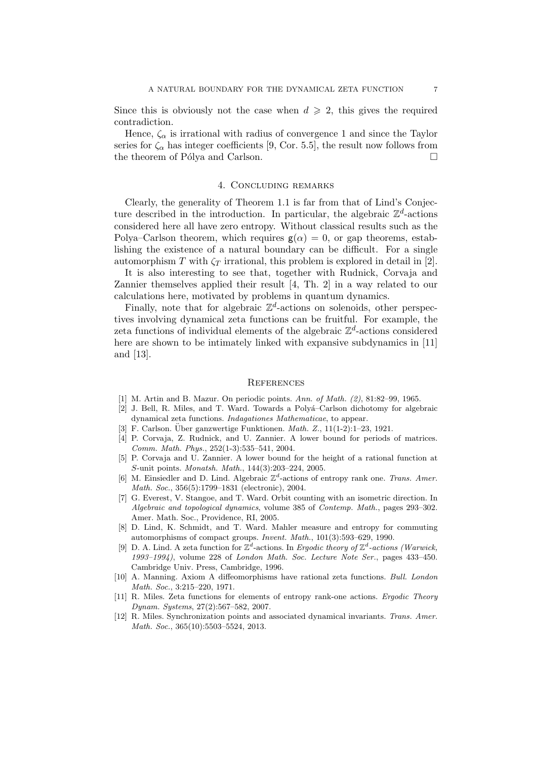Since this is obviously not the case when  $d \geq 2$ , this gives the required contradiction.

Hence,  $\zeta_{\alpha}$  is irrational with radius of convergence 1 and since the Taylor series for  $\zeta_{\alpha}$  has integer coefficients [9, Cor. 5.5], the result now follows from the theorem of Pólya and Carlson.  $\Box$ 

### 4. Concluding remarks

Clearly, the generality of Theorem 1.1 is far from that of Lind's Conjecture described in the introduction. In particular, the algebraic  $\mathbb{Z}^d$ -actions considered here all have zero entropy. Without classical results such as the Polya–Carlson theorem, which requires  $g(\alpha) = 0$ , or gap theorems, establishing the existence of a natural boundary can be difficult. For a single automorphism T with  $\zeta_T$  irrational, this problem is explored in detail in [2].

It is also interesting to see that, together with Rudnick, Corvaja and Zannier themselves applied their result [4, Th. 2] in a way related to our calculations here, motivated by problems in quantum dynamics.

Finally, note that for algebraic  $\mathbb{Z}^d$ -actions on solenoids, other perspectives involving dynamical zeta functions can be fruitful. For example, the zeta functions of individual elements of the algebraic  $\mathbb{Z}^d$ -actions considered here are shown to be intimately linked with expansive subdynamics in [11] and [13].

#### **REFERENCES**

- [1] M. Artin and B. Mazur. On periodic points. Ann. of Math. (2), 81:82–99, 1965.
- [2] J. Bell, R. Miles, and T. Ward. Towards a Polyá-Carlson dichotomy for algebraic dynamical zeta functions. Indagationes Mathematicae, to appear.
- [3] F. Carlson. Über ganzwertige Funktionen.  $Math. Z., 11(1-2):1-23, 1921.$
- [4] P. Corvaja, Z. Rudnick, and U. Zannier. A lower bound for periods of matrices. Comm. Math. Phys., 252(1-3):535–541, 2004.
- [5] P. Corvaja and U. Zannier. A lower bound for the height of a rational function at S-unit points. Monatsh. Math., 144(3):203–224, 2005.
- [6] M. Einsiedler and D. Lind. Algebraic  $\mathbb{Z}^d$ -actions of entropy rank one. Trans. Amer. Math. Soc., 356(5):1799–1831 (electronic), 2004.
- [7] G. Everest, V. Stangoe, and T. Ward. Orbit counting with an isometric direction. In Algebraic and topological dynamics, volume 385 of Contemp. Math., pages 293–302. Amer. Math. Soc., Providence, RI, 2005.
- [8] D. Lind, K. Schmidt, and T. Ward. Mahler measure and entropy for commuting automorphisms of compact groups. Invent. Math., 101(3):593–629, 1990.
- [9] D. A. Lind. A zeta function for  $\mathbb{Z}^d$ -actions. In Ergodic theory of  $\mathbb{Z}^d$ -actions (Warwick, 1993–1994), volume 228 of London Math. Soc. Lecture Note Ser., pages 433–450. Cambridge Univ. Press, Cambridge, 1996.
- [10] A. Manning. Axiom A diffeomorphisms have rational zeta functions. Bull. London Math. Soc., 3:215–220, 1971.
- [11] R. Miles. Zeta functions for elements of entropy rank-one actions. Ergodic Theory Dynam. Systems, 27(2):567–582, 2007.
- [12] R. Miles. Synchronization points and associated dynamical invariants. Trans. Amer. Math. Soc., 365(10):5503–5524, 2013.